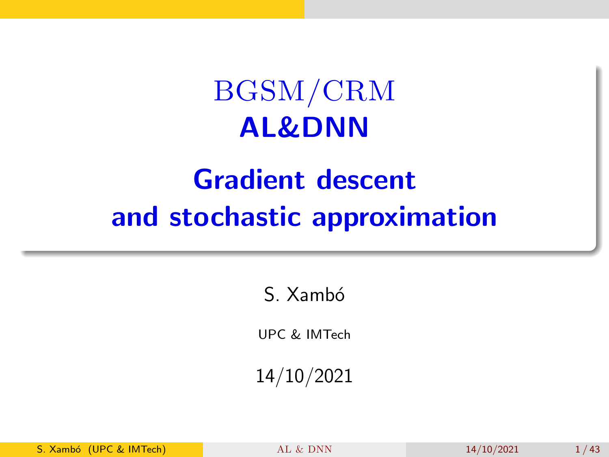## BGSM/CRM AL&DNN

## <span id="page-0-0"></span>Gradient descent and stochastic approximation

S. Xambó

UPC & IMTech

14/10/2021

S. Xambó (UPC & IMTech) [AL & DNN](#page-42-0) 14/10/2021 1/43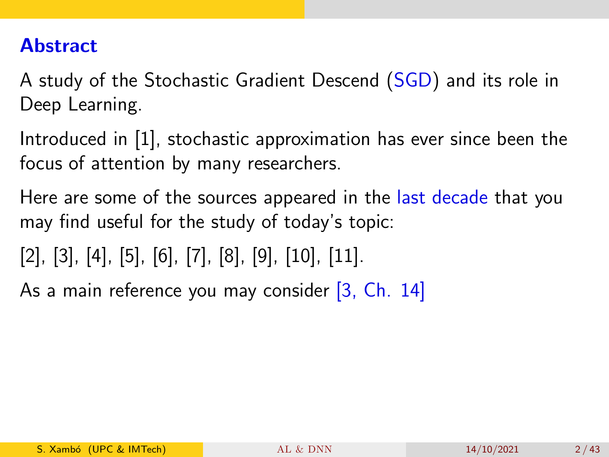#### Abstract

A study of the Stochastic Gradient Descend (SGD) and its role in Deep Learning.

Introduced in [\[1\]](#page-39-0), stochastic approximation has ever since been the focus of attention by many researchers.

Here are some of the sources appeared in the last decade that you may find useful for the study of today's topic:

[\[2\]](#page-39-1), [\[3\]](#page-39-2), [\[4\]](#page-40-0), [\[5\]](#page-40-1), [\[6\]](#page-40-2), [\[7\]](#page-41-0), [\[8\]](#page-41-1), [\[9\]](#page-41-2), [\[10\]](#page-42-1), [\[11\]](#page-42-2).

As a main reference you may consider [\[3,](#page-39-2) Ch. 14]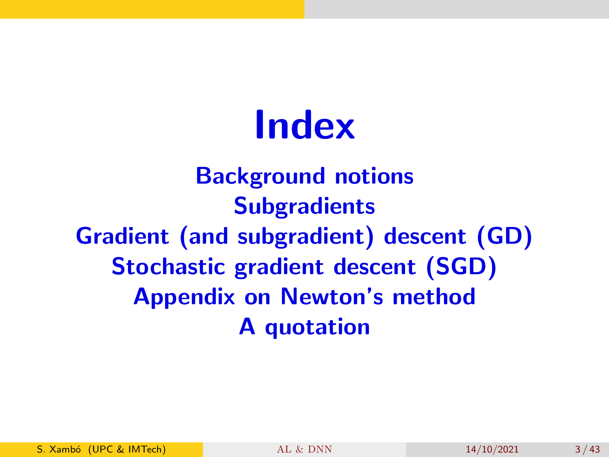## Index

Background notions **Subgradients** Gradient (and subgradient) descent (GD) Stochastic gradient descent (SGD) Appendix on Newton's method A quotation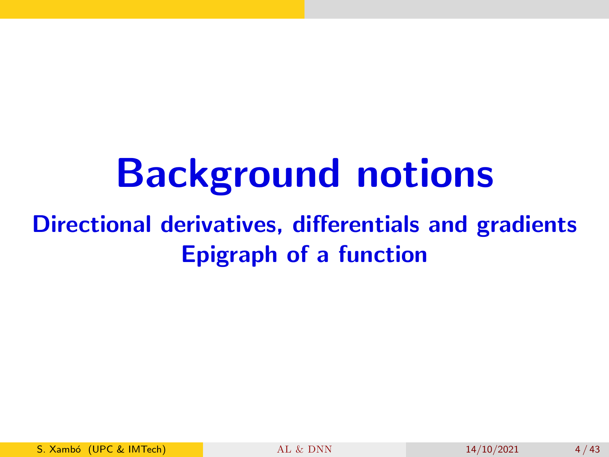# Background notions

### Directional derivatives, differentials and gradients Epigraph of a function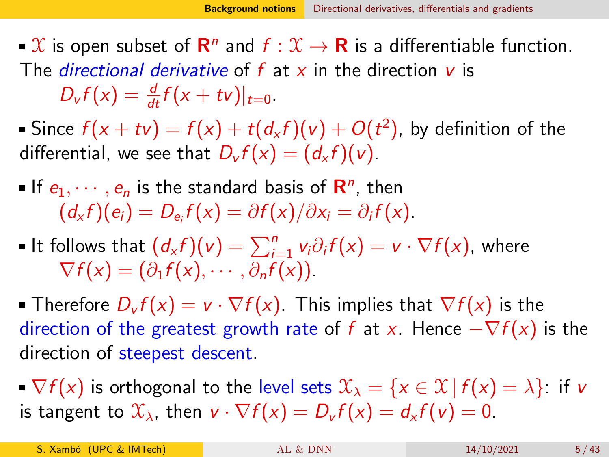- <span id="page-4-0"></span> $\mathcal X$  is open subset of  $\mathsf R^n$  and  $f: \mathcal X \to \mathsf R$  is a differentiable function. The *directional derivative* of  $f$  at  $x$  in the direction  $v$  is  $D_v f(x) = \frac{d}{dt} f(x + tv)|_{t=0}.$
- Since  $f(x + tv) = f(x) + t(d_x f)(v) + O(t^2)$ , by definition of the differential, we see that  $D_v f(x) = (d_x f)(v)$ .
- If  $e_1, \dots, e_n$  is the standard basis of  $\mathsf{R}^n$ , then  $(d_x f)(e_i) = D_{e_i} f(x) = \partial f(x)/\partial x_i = \partial_i f(x).$
- It follows that  $(d_x f)(v) = \sum_{i=1}^n v_i \partial_i f(x) = v \cdot \nabla f(x)$ , where  $\nabla f(x) = (\partial_1 f(x), \cdots, \partial_n f(x)).$
- **Therefore**  $D_v f(x) = v \cdot \nabla f(x)$ . This implies that  $\nabla f(x)$  is the direction of the greatest growth rate of f at x. Hence  $-\nabla f(x)$  is the direction of steepest descent.
- $\nabla \nabla f(x)$  is orthogonal to the level sets  $\mathcal{X}_{\lambda} = \{x \in \mathcal{X} \mid f(x) = \lambda\}$ : if v is tangent to  $\mathfrak{X}_{\lambda}$ , then  $v \cdot \nabla f(x) = D_v f(x) = d_x f(v) = 0$ .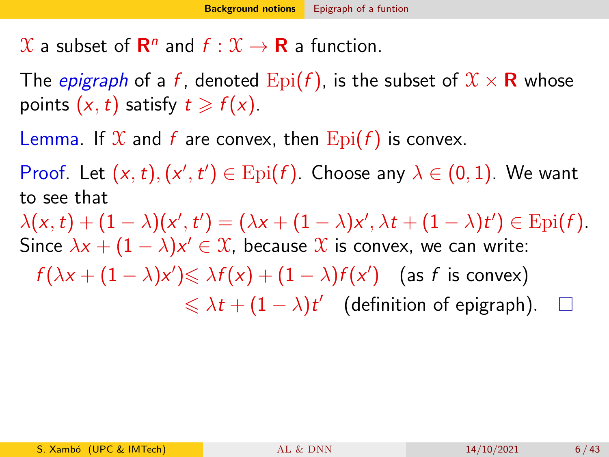<span id="page-5-0"></span> $\mathcal{X}$  a subset of  $\mathsf{R}^n$  and  $f : \mathcal{X} \to \mathsf{R}$  a function.

The *epigraph* of a f, denoted  $\text{Epi}(f)$ , is the subset of  $\mathcal{X} \times \mathbf{R}$  whose points  $(x, t)$  satisfy  $t \geq f(x)$ .

Lemma. If X and f are convex, then  $\text{Epi}(f)$  is convex.

Proof. Let  $(x, t), (x', t') \in$  Epi $(f)$ . Choose any  $\lambda \in (0, 1)$ . We want to see that

 $\lambda(x,t) + (1-\lambda)(x',t') = (\lambda x + (1-\lambda)x', \lambda t + (1-\lambda)t') \in \text{Epi}(f).$ Since  $\lambda x + (1 - \lambda)x' \in \mathfrak{X}$ , because  $\mathfrak X$  is convex, we can write:

 $f(\lambda x + (1 - \lambda)x') \leq \lambda f(x) + (1 - \lambda)f(x')$  (as f is convex)

 $\leq \lambda t + (1 - \lambda)t'$  (definition of epigraph).  $\Box$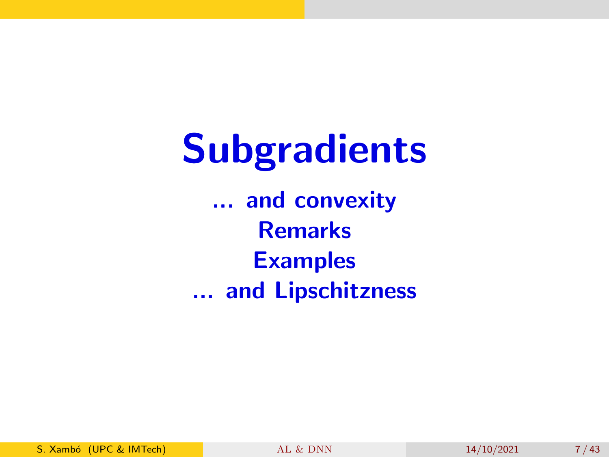# **Subgradients**

... and convexity Remarks **Examples** ... and Lipschitzness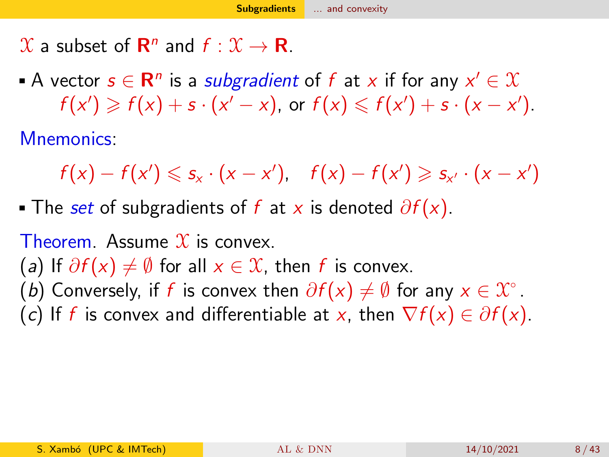<span id="page-7-0"></span> $\mathcal{X}$  a subset of  $\mathsf{R}^n$  and  $f : \mathcal{X} \to \mathsf{R}$ .

A vector  $s \in \mathbf{R}^n$  is a *subgradient* of  $f$  at  $x$  if for any  $x' \in \mathcal{X}$  $f(x') \geq f(x) + s \cdot (x' - x)$ , or  $f(x) \leq f(x') + s \cdot (x - x')$ .

Mnemonics:

 $f(x) - f(x') \leq s_x \cdot (x - x'), \quad f(x) - f(x') \geq s_{x'} \cdot (x - x')$ 

The set of subgradients of f at x is denoted  $\partial f(x)$ .

Theorem. Assume  $\mathcal X$  is convex. (a) If  $\partial f(x) \neq \emptyset$  for all  $x \in \mathcal{X}$ , then f is convex. (b) Conversely, if  $f$  is convex then  $\partial f(x) \neq \emptyset$  for any  $x \in \mathcal{X}^{\circ}$ . (c) If f is convex and differentiable at x, then  $\nabla f(x) \in \partial f(x)$ .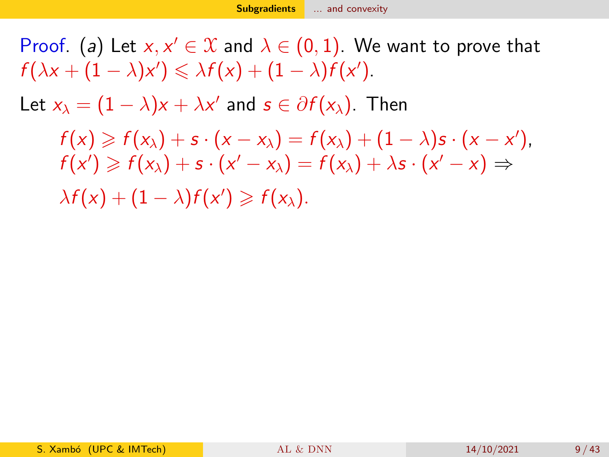Proof. (a) Let  $x, x' \in \mathfrak{X}$  and  $\lambda \in (0,1)$ . We want to prove that  $f(\lambda x + (1 - \lambda)x') \leq \lambda f(x) + (1 - \lambda)f(x').$ Let  $x_{\lambda} = (1 - \lambda)x + \lambda x'$  and  $s \in \partial f(x_{\lambda})$ . Then  $f(x) \geqslant f(x_{\lambda}) + s \cdot (x - x_{\lambda}) = f(x_{\lambda}) + (1 - \lambda)s \cdot (x - x'),$  $f(x') \geqslant f(x_\lambda) + s \cdot (x' - x_\lambda) = f(x_\lambda) + \lambda s \cdot (x' - x) \Rightarrow$  $\lambda f(x) + (1 - \lambda) f(x') \geqslant f(x_{\lambda}).$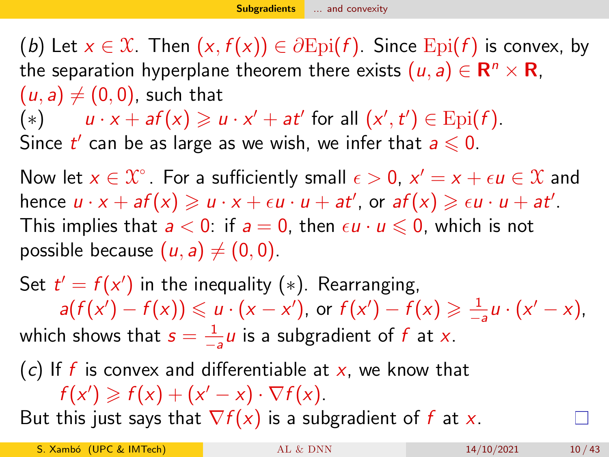(b) Let  $x \in \mathcal{X}$ . Then  $(x, f(x)) \in \partial \text{Epi}(f)$ . Since  $\text{Epi}(f)$  is convex, by the separation hyperplane theorem there exists  $(\textbf{\textit{u}}, \textbf{\textit{a}}) \in \mathbf{R}^n \times \mathbf{R},$  $(u, a) \neq (0, 0)$ , such that (\*)  $u \cdot x + af(x) \geq u \cdot x' + at'$  for all  $(x', t') \in \text{Epi}(f)$ . Since  $t'$  can be as large as we wish, we infer that  $a \leqslant 0$ .

Now let  $x \in \mathcal{X}^{\circ}$ . For a sufficiently small  $\epsilon > 0$ ,  $x' = x + \epsilon u \in \mathcal{X}$  and hence  $u \cdot x + af(x) \geqslant u \cdot x + \epsilon u \cdot u + at'$ , or  $af(x) \geqslant \epsilon u \cdot u + at'$ . This implies that  $a < 0$ : if  $a = 0$ , then  $\epsilon u \cdot u \le 0$ , which is not possible because  $(u, a) \neq (0, 0)$ .

Set  $t' = f(x')$  in the inequality (\*). Rearranging,  $a(f(x') - f(x)) \leqslant u \cdot (x - x')$ , or  $f(x') - f(x) \geqslant \frac{1}{x}$  $\frac{1}{-a}u\cdot(x'-x),$ which shows that  $s=\frac{1}{\epsilon}$  $\frac{1}{-a}u$  is a subgradient of f at x.

(c) If f is convex and differentiable at  $x$ , we know that  $f(x') \geqslant f(x) + (x'-x) \cdot \nabla f(x).$ But this just says that  $\nabla f(x)$  is a subgradient of f at x.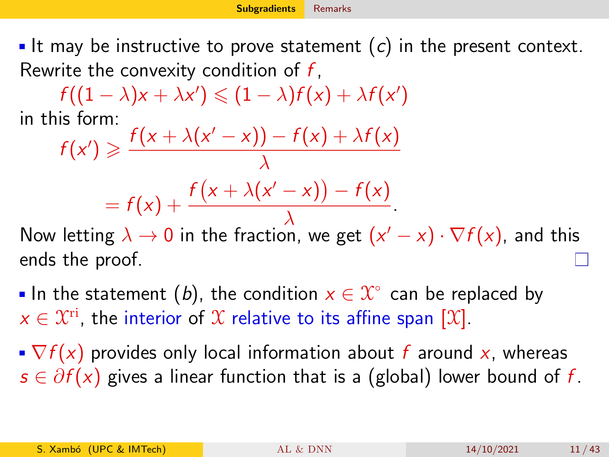<span id="page-10-0"></span>It may be instructive to prove statement  $(c)$  in the present context. Rewrite the convexity condition of  $f$ ,

 $f((1 - \lambda)x + \lambda x') \leq (1 - \lambda)f(x) + \lambda f(x')$ in this form:

 $f(x') \geqslant \frac{f(x + \lambda(x' - x)) - f(x) + \lambda f(x)}{h}$  $\lambda$  $= f(x) + \frac{f(x + \lambda(x' - x)) - f(x)}{h}$  $\lambda$ .

Now letting  $\lambda \to 0$  in the fraction, we get  $(x'-x)\cdot \nabla f(x)$ , and this ends the proof.

In the statement  $(b)$ , the condition  $x \in \mathcal{X}^{\circ}$  can be replaced by  $x \in \mathcal{X}^{\text{ri}}$ , the interior of  $\mathcal X$  relative to its affine span  $[\mathcal X]$ .

 $\nabla f(x)$  provides only local information about f around x, whereas  $s \in \partial f(x)$  gives a linear function that is a (global) lower bound of f.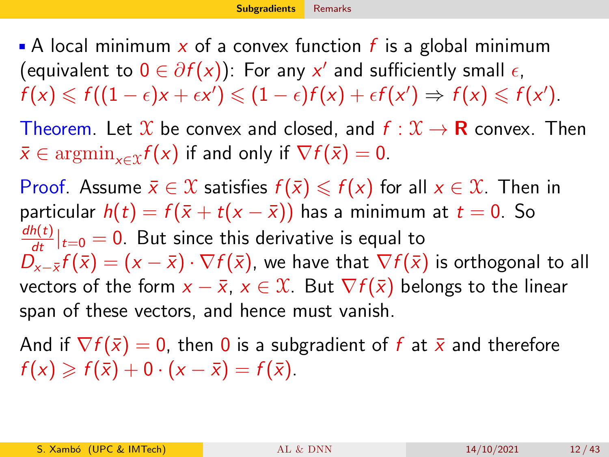A local minimum  $x$  of a convex function  $f$  is a global minimum (equivalent to  $0 \in \partial f(x)$ ): For any  $x'$  and sufficiently small  $\epsilon$ ,  $f(x) \leqslant f((1-\epsilon)x + \epsilon x') \leqslant (1-\epsilon)f(x) + \epsilon f(x') \Rightarrow f(x) \leqslant f(x')$ .

Theorem. Let X be convex and closed, and  $f: \mathcal{X} \to \mathbf{R}$  convex. Then  $\bar{x} \in \operatorname{argmin}_{x \in \Upsilon} f(x)$  if and only if  $\nabla f(\bar{x}) = 0$ .

Proof. Assume  $\bar{x} \in \mathcal{X}$  satisfies  $f(\bar{x}) \leq f(x)$  for all  $x \in \mathcal{X}$ . Then in particular  $h(t) = f(\bar{x} + t(x - \bar{x}))$  has a minimum at  $t = 0$ . So  $\frac{dh(t)}{dt}|_{t=0}=0$ . But since this derivative is equal to  $D_{x-\bar{x}}f(\bar{x}) = (x-\bar{x}) \cdot \nabla f(\bar{x})$ , we have that  $\nabla f(\bar{x})$  is orthogonal to all vectors of the form  $x - \bar{x}$ ,  $x \in \mathcal{X}$ . But  $\nabla f(\bar{x})$  belongs to the linear span of these vectors, and hence must vanish.

And if  $\nabla f(\bar{x}) = 0$ , then 0 is a subgradient of f at  $\bar{x}$  and therefore  $f(x) \geqslant f(\bar{x}) + 0 \cdot (x - \bar{x}) = f(\bar{x}).$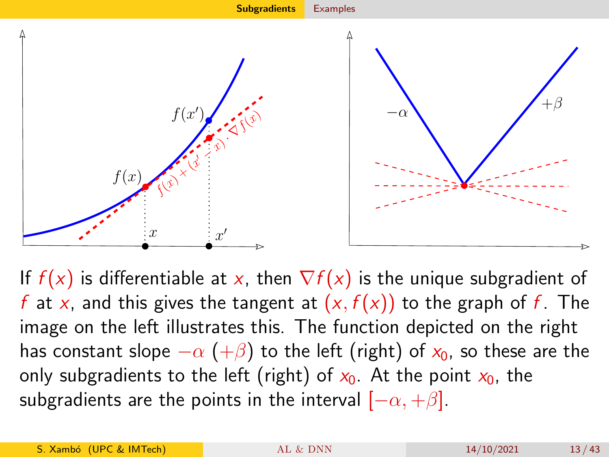<span id="page-12-0"></span>

If  $f(x)$  is differentiable at x, then  $\nabla f(x)$  is the unique subgradient of f at x, and this gives the tangent at  $(x, f(x))$  to the graph of f. The image on the left illustrates this. The function depicted on the right has constant slope  $-\alpha$  (+ $\beta$ ) to the left (right) of  $x_0$ , so these are the only subgradients to the left (right) of  $x_0$ . At the point  $x_0$ , the subgradients are the points in the interval  $[-\alpha, +\beta]$ .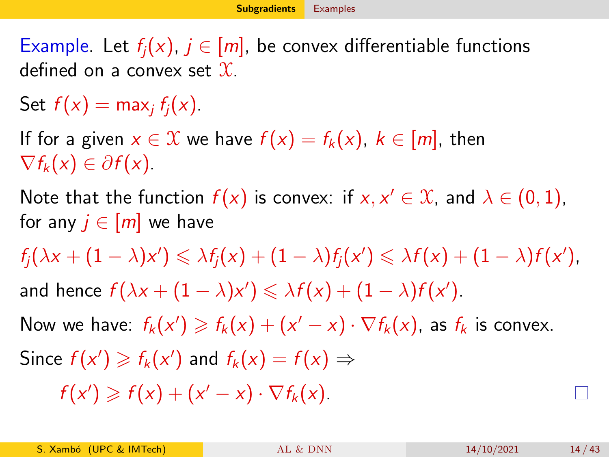Example. Let  $f_i(x)$ ,  $j \in [m]$ , be convex differentiable functions defined on a convex set  $\mathcal{X}$ .

Set  $f(x) = \max_j f_j(x)$ .

If for a given  $x \in \mathcal{X}$  we have  $f(x) = f_k(x)$ ,  $k \in [m]$ , then  $\nabla f_k(x) \in \partial f(x)$ .

Note that the function  $f(x)$  is convex: if  $x, x' \in \mathcal{X}$ , and  $\lambda \in (0,1)$ , for any  $j \in [m]$  we have

 $f_j(\lambda x + (1 - \lambda)x') \leq \lambda f_j(x) + (1 - \lambda)f_j(x') \leq \lambda f(x) + (1 - \lambda)f(x'),$ and hence  $f(\lambda x + (1 - \lambda)x') \leq \lambda f(x) + (1 - \lambda)f(x')$ .

Now we have:  $f_k(x') \geqslant f_k(x) + (x'-x) \cdot \nabla f_k(x)$ , as  $f_k$  is convex.

Since  $f(x') \geqslant f_k(x')$  and  $f_k(x) = f(x) \Rightarrow$ 

 $f(x') \geqslant f(x) + (x'-x) \cdot \nabla f_k(x).$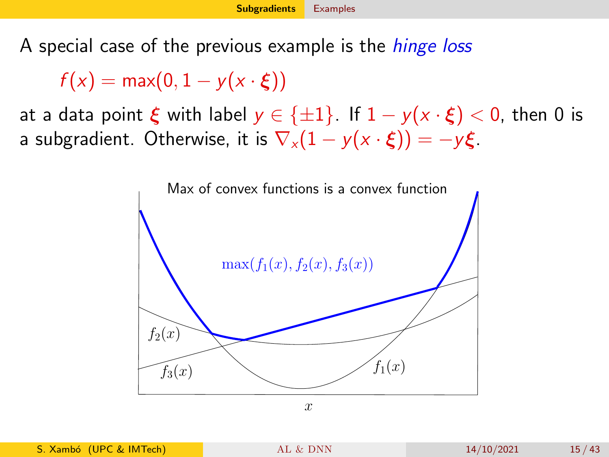A special case of the previous example is the *hinge loss* 

 $f(x) = \max(0, 1 - y(x \cdot \xi))$ 

at a data point  $\xi$  with label  $y \in {\pm 1}$ . If  $1 - y(x \cdot \xi) < 0$ , then 0 is a subgradient. Otherwise, it is  $\nabla_{x}(1 - y(x \cdot \xi)) = -y\xi$ .

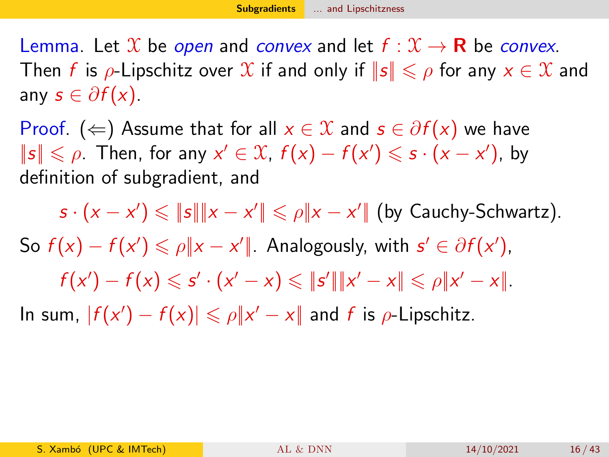<span id="page-15-1"></span><span id="page-15-0"></span>Lemma. Let X be *open* and *convex* and let  $f : X \rightarrow \mathbf{R}$  be *convex*. Then f is  $\rho$ -Lipschitz over  $\mathcal X$  if and only if  $||s|| \leq \rho$  for any  $x \in \mathcal X$  and any  $s \in \partial f(x)$ .

Proof. ( $\Leftarrow$ ) Assume that for all  $x \in \mathcal{X}$  and  $s \in \partial f(x)$  we have  $||s|| \leq \rho$ . Then, for any  $x' \in \mathfrak{X}$ ,  $f(x) - f(x') \leqslant s \cdot (x - x')$ , by definition of subgradient, and

 $s \cdot (x - x') \leqslant \|s\| \|x - x'\| \leqslant \rho \|x - x'\|$  (by Cauchy-Schwartz). So  $f(x) - f(x') \leq \rho \|x - x'\|$ . Analogously, with  $s' \in \partial f(x')$ ,  $f(x') - f(x) \leqslant s' \cdot (x' - x) \leqslant \|s'\| \|x' - x\| \leqslant \rho \|x' - x\|.$ In sum,  $|f(x') - f(x)| \leq \rho \|x' - x\|$  and f is  $\rho$ -Lipschitz.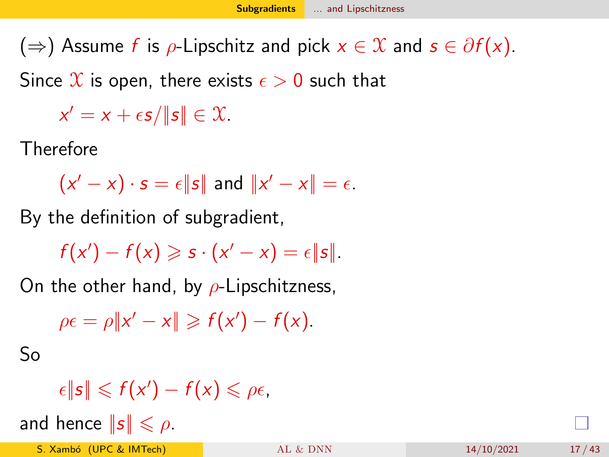$(\Rightarrow)$  Assume f is  $\rho$ -Lipschitz and pick  $x \in \mathcal{X}$  and  $s \in \partial f(x)$ .

Since X is open, there exists  $\epsilon > 0$  such that

 $x' = x + \epsilon s / \|s\| \in \mathfrak{X}.$ 

**Therefore** 

$$
(x'-x)\cdot s=\epsilon\|s\| \text{ and } \|x'-x\|=\epsilon.
$$

By the definition of subgradient,

$$
f(x') - f(x) \geqslant s \cdot (x' - x) = \epsilon \|s\|.
$$

On the other hand, by  $\rho$ -Lipschitzness,

$$
\rho \epsilon = \rho \|x' - x\| \geqslant f(x') - f(x).
$$

So

$$
\epsilon \|s\| \leqslant f(x')-f(x)\leqslant \rho\epsilon,
$$

and hence  $||s|| \leq \rho$ .

S. Xambó (UPC & IMTech) [AL & DNN](#page-0-0) 14/10/2021 17/43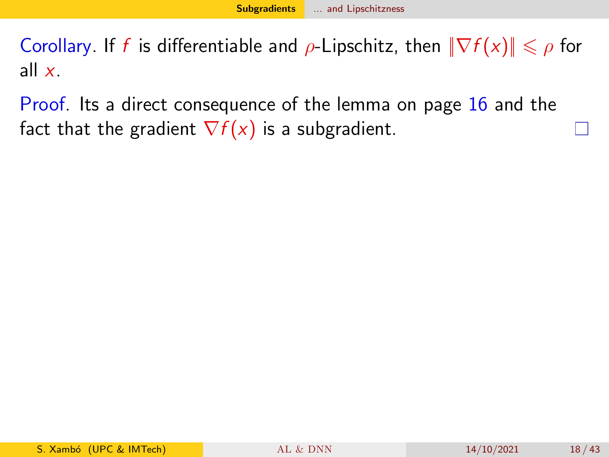<span id="page-17-0"></span>Corollary. If f is differentiable and  $\rho$ -Lipschitz, then  $\|\nabla f(x)\| \leqslant \rho$  for all  $x$ .

Proof. Its a direct consequence of the lemma on page [16](#page-15-1) and the fact that the gradient  $\nabla f(x)$  is a subgradient.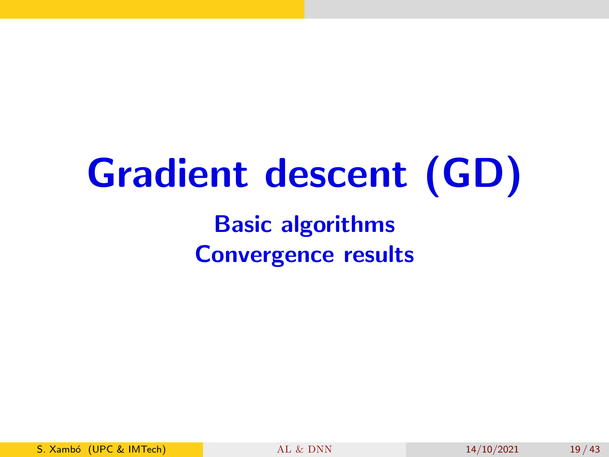# Gradient descent (GD)

Basic algorithms Convergence results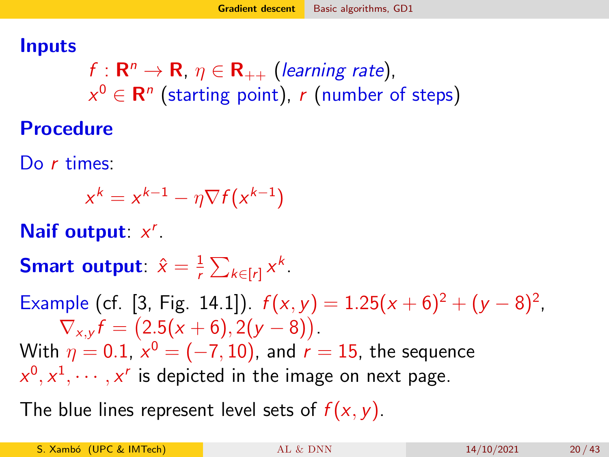#### <span id="page-19-0"></span>Inputs

 $f: \mathbf{R}^n \to \mathbf{R}, \, \eta \in \mathbf{R}_{++}$  (learning rate),  $x^0 \in \mathbf{R}^n$  (starting point), r (number of steps)

Procedure

Do r times:

$$
x^k = x^{k-1} - \eta \nabla f(x^{k-1})
$$

Naif output:  $x^r$ .

**Smart output**:  $\hat{x} = \frac{1}{b}$  $\frac{1}{r}\sum_{k\in[r]}x^k$ .

Example (cf. [\[3,](#page-39-2) Fig. 14.1]).  $f(x, y) = 1.25(x + 6)^2 + (y - 8)^2$ ,  $\nabla_{x,y} f = (2.5(x+6), 2(y-8)).$ With  $\eta=0.1$ ,  $x^0=(-7,10)$ , and  $r=15$ , the sequence  $x^0, x^1, \cdots, x^r$  is depicted in the image on next page.

The blue lines represent level sets of  $f(x, y)$ .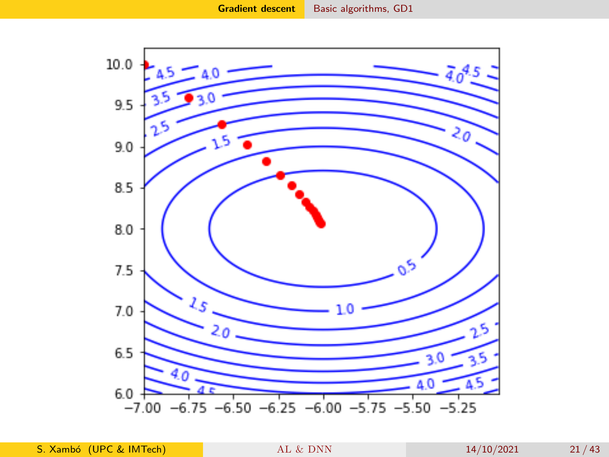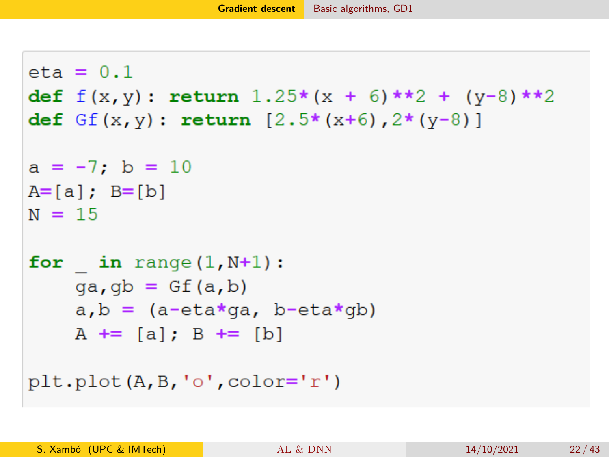```
eta = 0.1def f(x, y): return 1.25*(x + 6)**2 + (y-8)**2
def Gf(x, y): return [2.5*(x+6), 2*(y-8)]a = -7; b = 10A = [a]; B = [b]N = 15for in range (1, N+1):
    qa, qb = Gf(a, b)a, b = (a - eta * qa, b - eta * qb)A \leftarrow [a]; B \leftarrow [b]plt.plot(A, B, 'o', color='r')
```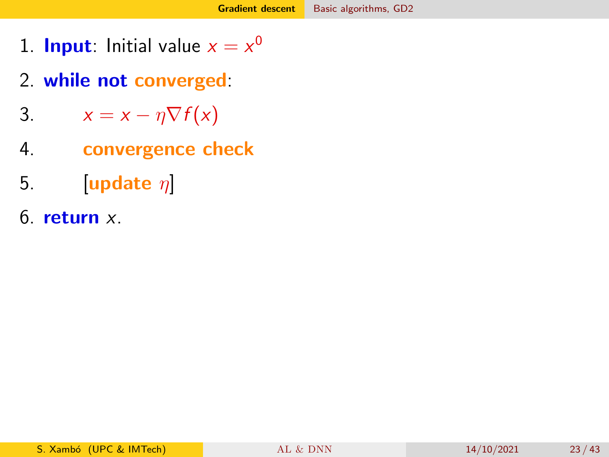- <span id="page-22-0"></span>1. Input: Initial value  $x=x^0$
- 2. while not converged:
- 3.  $x = x \eta \nabla f(x)$
- 4. convergence check
- 5.  $\vert \textbf{update} \eta \vert$
- 6. return  $x$ .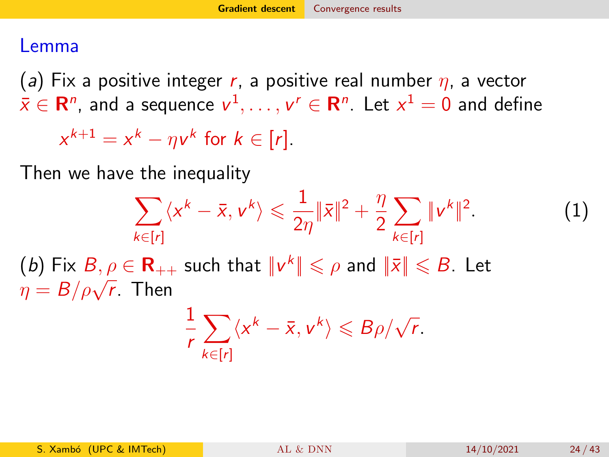#### <span id="page-23-1"></span><span id="page-23-0"></span>Lemma

(a) Fix a positive integer r, a positive real number  $\eta$ , a vector  $\bar{x}\in\mathbf{R}^n$ , and a sequence  $\mathsf{v}^1,\ldots,\mathsf{v}^r\in\mathbf{R}^n$ . Let  $\mathsf{x}^1=0$  and define

 $x^{k+1} = x^k - \eta v^k$  for  $k \in [r]$ .

Then we have the inequality

$$
\sum_{k \in [r]} \langle x^k - \bar{x}, v^k \rangle \leq \frac{1}{2\eta} \|\bar{x}\|^2 + \frac{\eta}{2} \sum_{k \in [r]} \|v^k\|^2.
$$
\n(b) Fix  $B, \rho \in \mathbf{R}_{++}$  such that  $\|v^k\| \leq \rho$  and  $\|\bar{x}\| \leq B$ . Let  $\eta = B/\rho\sqrt{r}$ . Then

\n
$$
\frac{1}{r} \sum_{k \in [r]} \langle x^k - \bar{x}, v^k \rangle \leq B\rho/\sqrt{r}.
$$

 $(1)$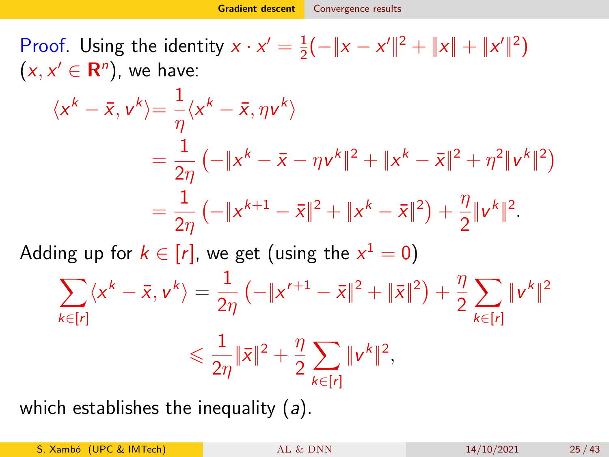Proof. Using the identity  $x \cdot x' = \frac{1}{2}$  $\frac{1}{2}(-\|x-x'\|^2+\|x\|+\|x'\|^2)$  $(x, x' \in \mathbf{R}^n)$ , we have:

$$
\langle x^{k} - \bar{x}, v^{k} \rangle = \frac{1}{\eta} \langle x^{k} - \bar{x}, \eta v^{k} \rangle
$$
  
\n
$$
= \frac{1}{2\eta} \left( -\|x^{k} - \bar{x} - \eta v^{k}\|^{2} + \|x^{k} - \bar{x}\|^{2} + \eta^{2} \|v^{k}\|^{2} \right)
$$
  
\n
$$
= \frac{1}{2\eta} \left( -\|x^{k+1} - \bar{x}\|^{2} + \|x^{k} - \bar{x}\|^{2} \right) + \frac{\eta}{2} \|v^{k}\|^{2}.
$$
  
\nAdding up for  $k \in [r]$ , we get (using the  $x^{1} = 0$ )  
\n
$$
\sum_{k \in [r]} \langle x^{k} - \bar{x}, v^{k} \rangle = \frac{1}{2\eta} \left( -\|x^{r+1} - \bar{x}\|^{2} + \|\bar{x}\|^{2} \right) + \frac{\eta}{2} \sum_{k \in [r]} \|v^{k}\|^{2}
$$
  
\n
$$
\leq \frac{1}{2\eta} \|\bar{x}\|^{2} + \frac{\eta}{2} \sum_{k \in [r]} \|v^{k}\|^{2},
$$

which establishes the inequality  $(a)$ .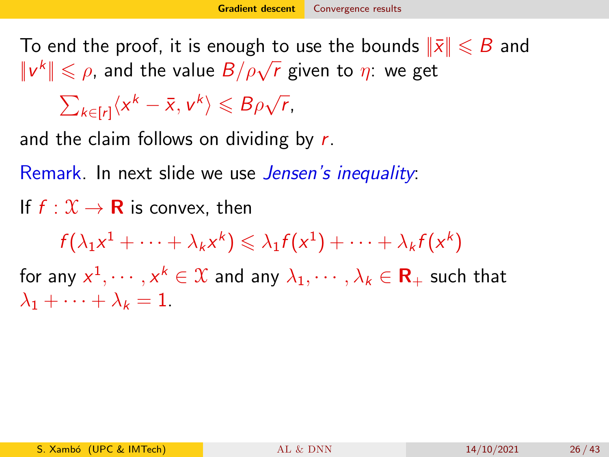To end the proof, it is enough to use the bounds  $\|\bar{x}\| \leqslant B$  and Fo end the proof, it is enough to use the bounds  $\|v\|^2$ 

 $\sum_{k\in[r]}\langle x^k-\bar{x},v^k\rangle\leqslant B\rho\sqrt{2}$ r,

and the claim follows on dividing by  $r$ .

Remark. In next slide we use *Jensen's inequality*:

If  $f: \mathfrak{X} \to \mathbf{R}$  is convex, then

 $f(\lambda_1x^1 + \cdots + \lambda_kx^k) \leq \lambda_1f(x^1) + \cdots + \lambda_kf(x^k)$ for any  $x^1,\cdots,x^k\in\mathfrak X$  and any  $\lambda_1,\cdots,\lambda_k\in\mathbf{R}_+$  such that  $\lambda_1 + \cdots + \lambda_k = 1.$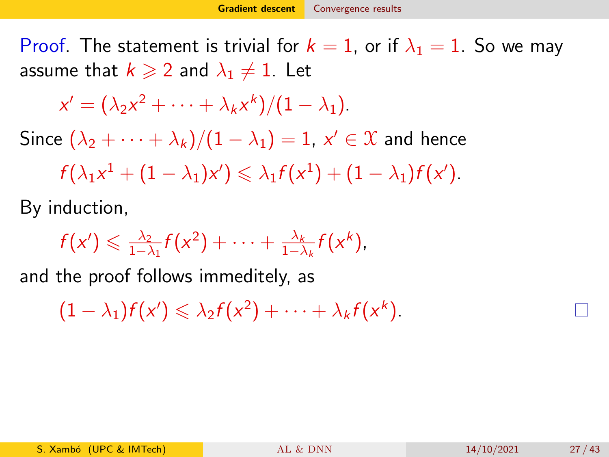Proof. The statement is trivial for  $k = 1$ , or if  $\lambda_1 = 1$ . So we may assume that  $k \geqslant 2$  and  $\lambda_1 \neq 1$ . Let

$$
x' = (\lambda_2 x^2 + \cdots + \lambda_k x^k)/(1 - \lambda_1).
$$

Since  $(\lambda_2+\cdots+\lambda_k)/(1-\lambda_1)=1,~\text{$\varkappa$}'\in\mathfrak X$  and hence

$$
f(\lambda_1x^1+(1-\lambda_1)x')\leqslant \lambda_1f(x^1)+(1-\lambda_1)f(x').
$$

By induction,

$$
f(x') \leq \frac{\lambda_2}{1-\lambda_1} f(x^2) + \cdots + \frac{\lambda_k}{1-\lambda_k} f(x^k),
$$

and the proof follows immeditely, as

 $(1 - \lambda_1) f(x') \leq \lambda_2 f(x^2) + \cdots + \lambda_k f(x^k).$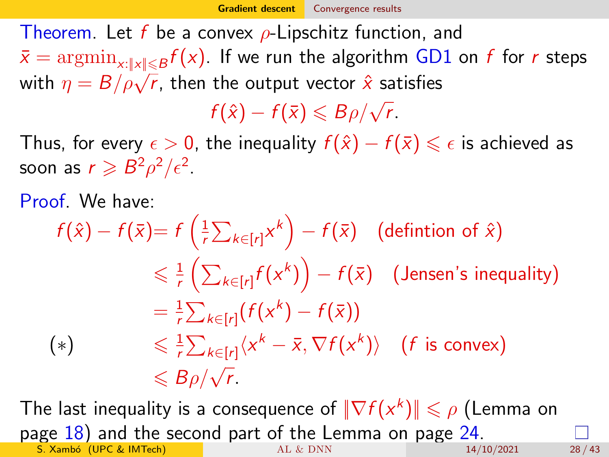Theorem. Let f be a convex  $\rho$ -Lipschitz function, and  $\bar{x} = \mathop{\rm argmin}_{x: \|x\| \leqslant B} f(x).$  If we run the algorithm <code>GD1</code> on  $f$  for  $r$  steps with  $\eta = B/\rho\sqrt{r}$ , then the output vector  $\hat{x}$  satisfies  $f(\hat{x}) - f(\bar{x}) \leq B\rho/\sqrt{r}.$ 

Thus, for every  $\epsilon > 0$ , the inequality  $f(\hat{x}) - f(\bar{x}) \leq \epsilon$  is achieved as soon as  $r \geqslant B^2 \rho^2/\epsilon^2$ .

Proof. We have:

$$
f(\hat{x}) - f(\bar{x}) = f\left(\frac{1}{r}\sum_{k \in [r]} x^k\right) - f(\bar{x}) \quad \text{(definition of } \hat{x})
$$
\n
$$
\leq \frac{1}{r} \left(\sum_{k \in [r]} f(x^k)\right) - f(\bar{x}) \quad \text{(Jensen's inequality)}
$$
\n
$$
= \frac{1}{r}\sum_{k \in [r]} (f(x^k) - f(\bar{x}))
$$
\n
$$
(*) \leq \frac{1}{r}\sum_{k \in [r]} \langle x^k - \bar{x}, \nabla f(x^k) \rangle \quad \text{(f is convex)}
$$
\n
$$
\leq B\rho/\sqrt{r}.
$$

The last inequality is a consequence of  $\|\nabla f(x^k)\| \leqslant \rho$  (Lemma on page [18\)](#page-17-0) and the second part of the Lemma on page [24.](#page-23-1)<br>  $\frac{S. Xambá (UPC & IMTech) }{4L \& DM}$ S. Xambó (UPC & IMTech) [AL & DNN](#page-0-0) 14/10/2021 28 / 43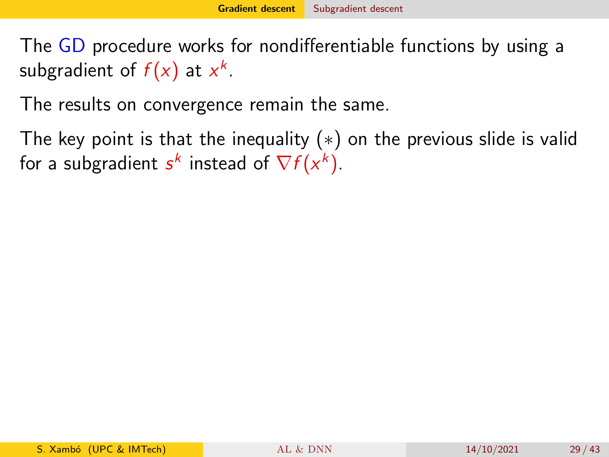<span id="page-28-0"></span>The GD procedure works for nondifferentiable functions by using a subgradient of  $f(x)$  at  $x^k$ .

The results on convergence remain the same.

The key point is that the inequality  $(*)$  on the previous slide is valid for a subgradient  $s^k$  instead of  $\nabla f(x^k)$ .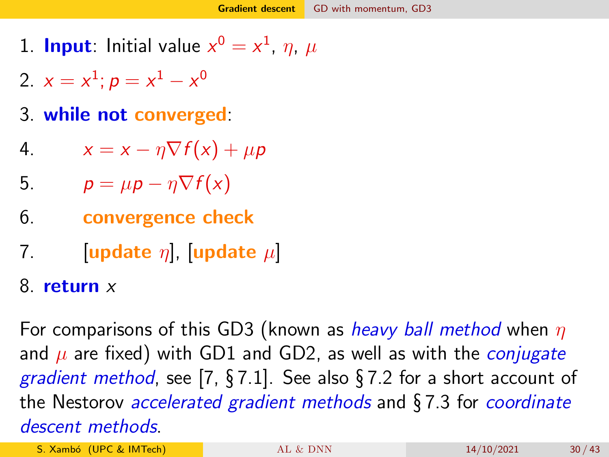- <span id="page-29-0"></span>1. Input: Initial value  $x^0 = x^1$ ,  $\eta$ ,  $\mu$
- 2.  $x = x^1$ ;  $p = x^1 x^0$
- 3. while not converged:
- 4.  $x = x \eta \nabla f(x) + \mu p$
- 5.  $p = \mu p \eta \nabla f(x)$
- 6. convergence check
- 7. **Iupdate**  $\eta$ , **[update**  $\mu$ ]
- 8. return  $x$

For comparisons of this GD3 (known as *heavy ball method* when  $\eta$ and  $\mu$  are fixed) with GD1 and GD2, as well as with the *conjugate gradient method*, see [\[7,](#page-41-0)  $\S 7.1$ ]. See also  $\S 7.2$  for a short account of the Nestorov accelerated gradient methods and §7.3 for coordinate descent methods.

S. Xambó (UPC & IMTech) [AL & DNN](#page-0-0) 14/10/2021 30 / 43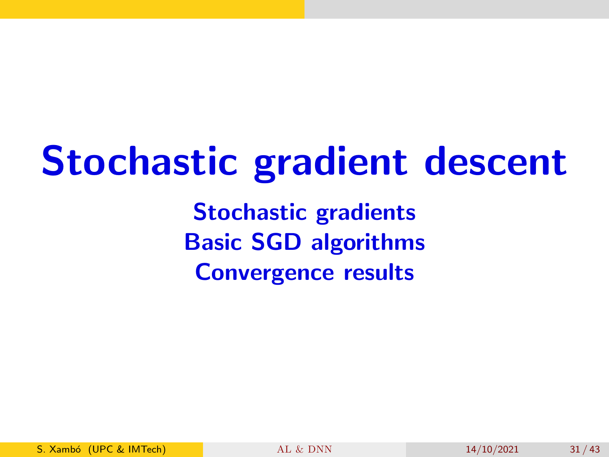## Stochastic gradient descent

Stochastic gradients Basic SGD algorithms Convergence results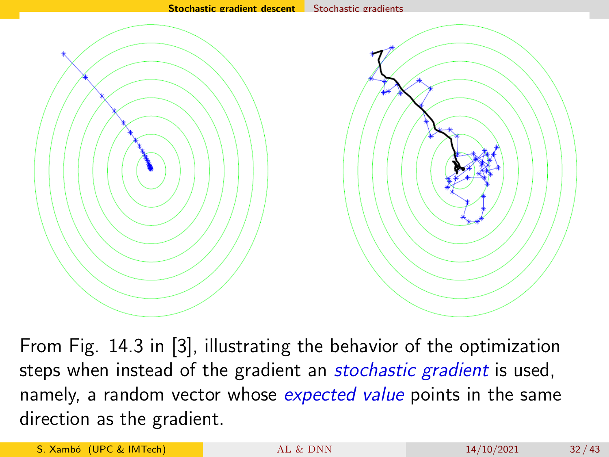<span id="page-31-0"></span>

From Fig. 14.3 in [\[3\]](#page-39-2), illustrating the behavior of the optimization steps when instead of the gradient an *stochastic gradient* is used, namely, a random vector whose *expected value* points in the same direction as the gradient.

S. Xambó (UPC & IMTech) [AL & DNN](#page-0-0) 14/10/2021 32 / 43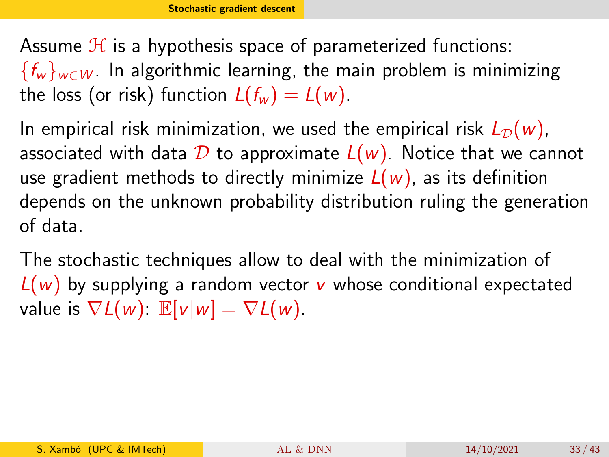Assume  $\mathcal H$  is a hypothesis space of parameterized functions:  ${f_w}_{w \in W}$ . In algorithmic learning, the main problem is minimizing the loss (or risk) function  $L(f_w) = L(w)$ .

In empirical risk minimization, we used the empirical risk  $L_{\mathcal{D}}(w)$ , associated with data  $\mathcal D$  to approximate  $L(w)$ . Notice that we cannot use gradient methods to directly minimize  $L(w)$ , as its definition depends on the unknown probability distribution ruling the generation of data.

The stochastic techniques allow to deal with the minimization of  $L(w)$  by supplying a random vector v whose conditional expectated value is  $\nabla L(w)$ :  $\mathbb{E}[v|w] = \nabla L(w)$ .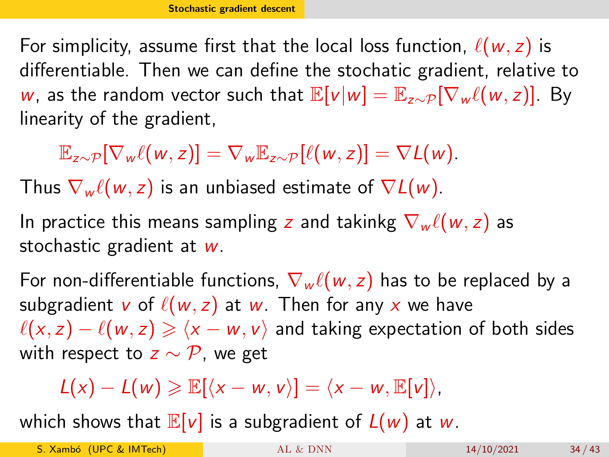For simplicity, assume first that the local loss function,  $\ell(w, z)$  is differentiable. Then we can define the stochatic gradient, relative to w, as the random vector such that  $\mathbb{E}[v|w] = \mathbb{E}_{z \sim \mathcal{P}}[\nabla_w \ell(w, z)]$ . By linearity of the gradient,

 $\mathbb{E}_{z\sim\mathcal{P}}[\nabla_{w}\ell(w,z)] = \nabla_{w}\mathbb{E}_{z\sim\mathcal{P}}[\ell(w,z)] = \nabla L(w).$ 

Thus  $\nabla_w \ell(w, z)$  is an unbiased estimate of  $\nabla L(w)$ .

In practice this means sampling z and takinkg  $\nabla_w \ell(w, z)$  as stochastic gradient at w.

For non-differentiable functions,  $\nabla_w \ell(w, z)$  has to be replaced by a subgradient v of  $\ell(w, z)$  at w. Then for any x we have  $\ell(x, z) - \ell(w, z) \geq \langle x - w, v \rangle$  and taking expectation of both sides with respect to  $z \sim \mathcal{P}$ , we get

 $L(x) - L(w) \geq E[\langle x - w, v \rangle] = \langle x - w, E[v] \rangle,$ 

which shows that  $\mathbb{E}[v]$  is a subgradient of  $L(w)$  at w.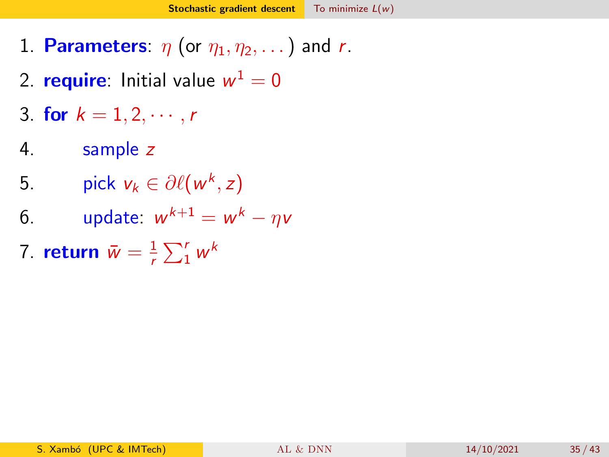- <span id="page-34-0"></span>1. **Parameters**:  $\eta$  (or  $\eta_1, \eta_2, \dots$ ) and r.
- 2.  $\mathsf{require:}$  Initial value  $\mathsf{w}^1 = \mathsf{0}$
- 3. for  $k = 1, 2, \cdots, r$
- 4. sample z
- 5. pick  $v_k \in \partial \ell(w^k, z)$
- 6. update:  $w^{k+1} = w^k \eta v$
- 7. return  $\bar{w} = \frac{1}{r}$  $\frac{1}{r}\sum_{1}^{r}w^{k}$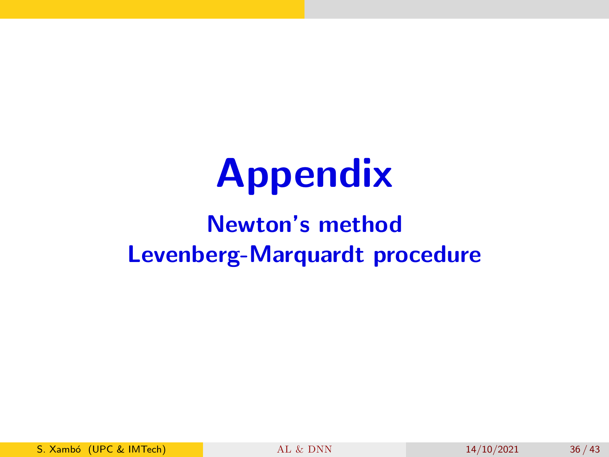# Appendix

### Newton's method Levenberg-Marquardt procedure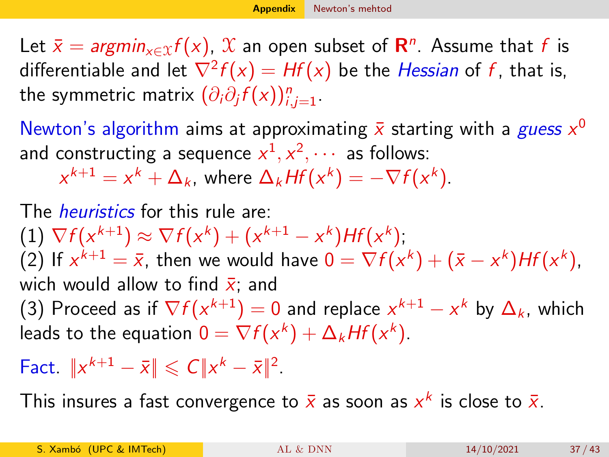<span id="page-36-0"></span>Let  $\bar{x} = \textit{argmin}_{x \in \mathcal{X}} f(x)$ ,  $\mathcal{X}$  an open subset of  $\mathsf{R}^n$ . Assume that  $f$  is differentiable and let  $\nabla^2 f(x) = Hf(x)$  be the *Hessian* of f, that is, the symmetric matrix  $(\partial_i \partial_j f(x))_{i,j=1}^n$ .

Newton's algorithm aims at approximating  $\bar{x}$  starting with a guess  $x^0$ and constructing a sequence  $x^1, x^2, \cdots$  as follows:

 $x^{k+1} = x^k + \Delta_k$ , where  $\Delta_k Hf(x^k) = -\nabla f(x^k)$ .

The *heuristics* for this rule are:  $(1) \nabla f(x^{k+1}) \approx \nabla f(x^k) + (x^{k+1} - x^k)Hf(x^k);$ (2) If  $x^{k+1} = \bar{x}$ , then we would have  $0 = \nabla f(x^k) + (\bar{x} - x^k)Hf(x^k)$ , wich would allow to find  $\bar{x}$ ; and (3) Proceed as if  $\nabla f(x^{k+1}) = 0$  and replace  $x^{k+1} - x^k$  by  $\Delta_k$ , which leads to the equation  $0 = \nabla f(x^k) + \Delta_k Hf(x^k).$ 

$$
\text{Fact. } \|x^{k+1} - \bar{x}\| \leq C \|x^k - \bar{x}\|^2.
$$

This insures a fast convergence to  $\bar{x}$  as soon as  $x^k$  is close to  $\bar{x}.$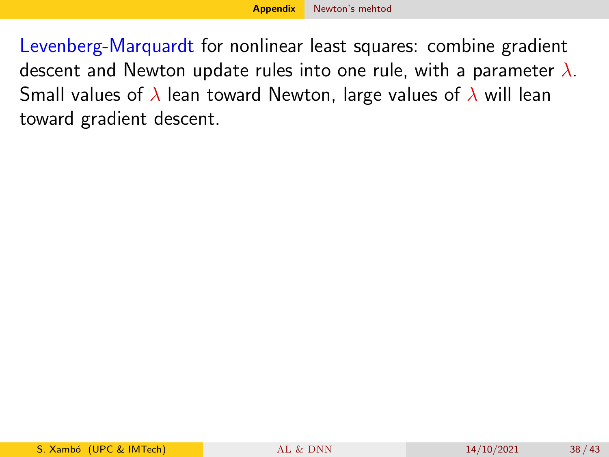Levenberg-Marquardt for nonlinear least squares: combine gradient descent and Newton update rules into one rule, with a parameter  $\lambda$ . Small values of  $\lambda$  lean toward Newton, large values of  $\lambda$  will lean toward gradient descent.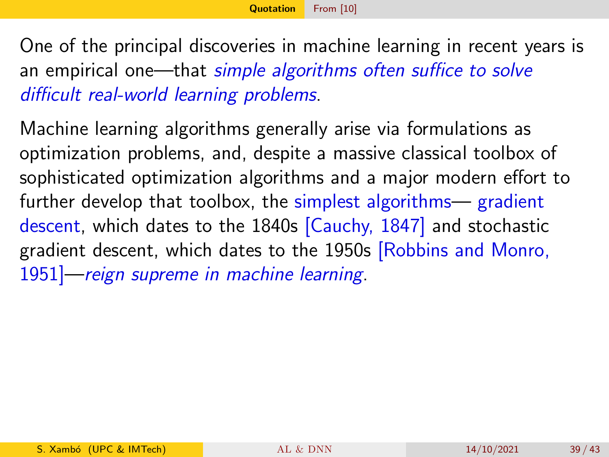<span id="page-38-0"></span>One of the principal discoveries in machine learning in recent years is an empirical one—that simple algorithms often suffice to solve difficult real-world learning problems.

Machine learning algorithms generally arise via formulations as optimization problems, and, despite a massive classical toolbox of sophisticated optimization algorithms and a major modern effort to further develop that toolbox, the simplest algorithms— gradient descent, which dates to the 1840s [Cauchy, 1847] and stochastic gradient descent, which dates to the 1950s Robbins and Monro, 1951]—reign supreme in machine learning.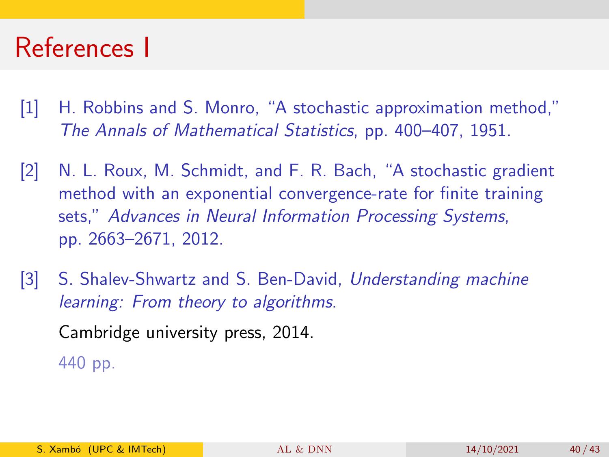## References I

- <span id="page-39-0"></span>[1] H. Robbins and S. Monro, "A stochastic approximation method," The Annals of Mathematical Statistics, pp. 400–407, 1951.
- <span id="page-39-1"></span>[2] N. L. Roux, M. Schmidt, and F. R. Bach, "A stochastic gradient method with an exponential convergence-rate for finite training sets," Advances in Neural Information Processing Systems, pp. 2663–2671, 2012.
- <span id="page-39-2"></span>[3] S. Shalev-Shwartz and S. Ben-David, Understanding machine learning: From theory to algorithms. Cambridge university press, 2014.

440 pp.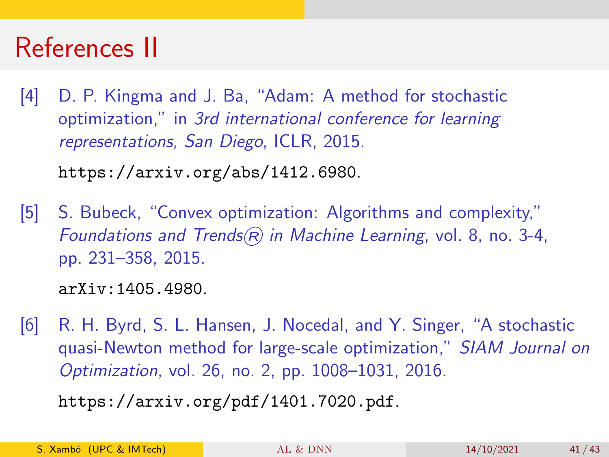## References II

<span id="page-40-0"></span>[4] D. P. Kingma and J. Ba, "Adam: A method for stochastic optimization," in 3rd international conference for learning representations, San Diego, ICLR, 2015.

<https://arxiv.org/abs/1412.6980>.

<span id="page-40-1"></span>[5] S. Bubeck, "Convex optimization: Algorithms and complexity," Foundations and Trends $(R)$  in Machine Learning, vol. 8, no. 3-4, pp. 231–358, 2015.

<arXiv:1405.4980>.

<span id="page-40-2"></span>[6] R. H. Byrd, S. L. Hansen, J. Nocedal, and Y. Singer, "A stochastic quasi-Newton method for large-scale optimization," SIAM Journal on Optimization, vol. 26, no. 2, pp. 1008–1031, 2016.

<https://arxiv.org/pdf/1401.7020.pdf>.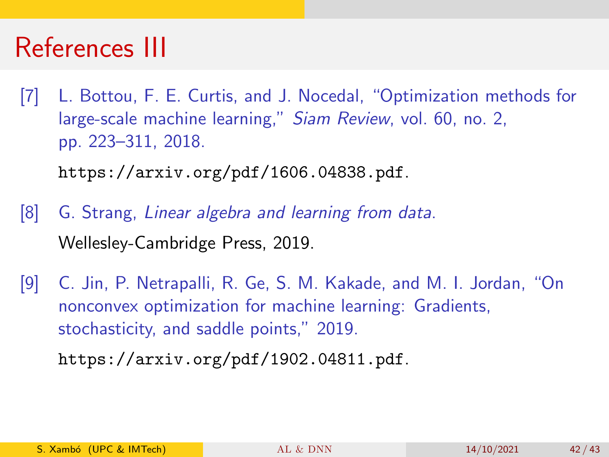## References III

<span id="page-41-0"></span>[7] L. Bottou, F. E. Curtis, and J. Nocedal, "Optimization methods for large-scale machine learning," Siam Review, vol. 60, no. 2, pp. 223–311, 2018.

<https://arxiv.org/pdf/1606.04838.pdf>.

- <span id="page-41-1"></span>[8] G. Strang, Linear algebra and learning from data. Wellesley-Cambridge Press, 2019.
- <span id="page-41-2"></span>[9] C. Jin, P. Netrapalli, R. Ge, S. M. Kakade, and M. I. Jordan, "On nonconvex optimization for machine learning: Gradients, stochasticity, and saddle points," 2019.

<https://arxiv.org/pdf/1902.04811.pdf>.